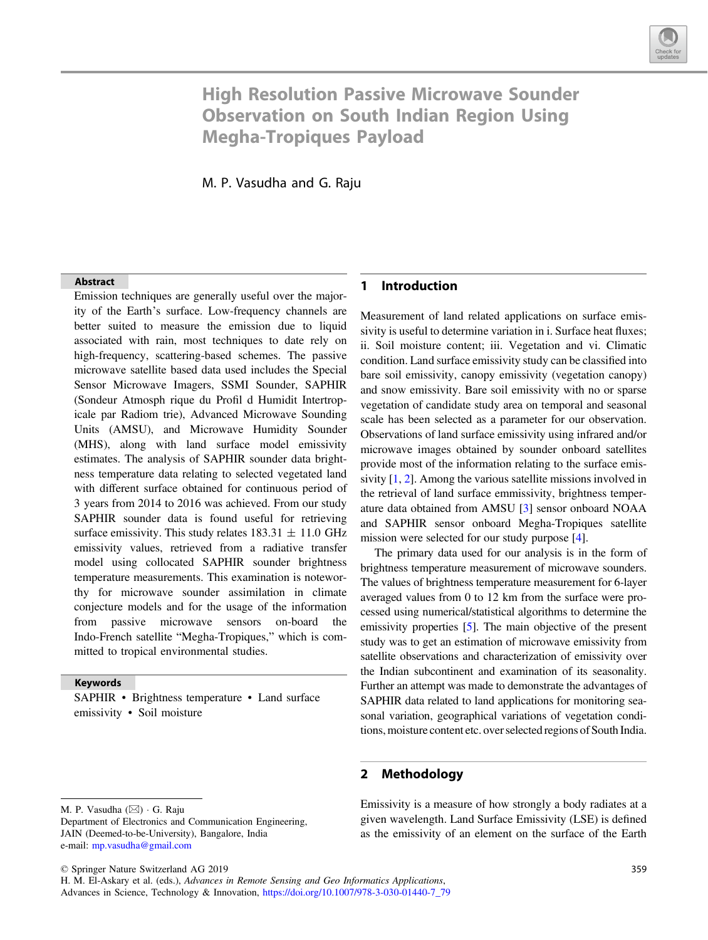

# High Resolution Passive Microwave Sounder Observation on South Indian Region Using Megha-Tropiques Payload

M. P. Vasudha and G. Raju

#### Abstract

Emission techniques are generally useful over the majority of the Earth's surface. Low-frequency channels are better suited to measure the emission due to liquid associated with rain, most techniques to date rely on high-frequency, scattering-based schemes. The passive microwave satellite based data used includes the Special Sensor Microwave Imagers, SSMI Sounder, SAPHIR (Sondeur Atmosph rique du Profil d Humidit Intertropicale par Radiom trie), Advanced Microwave Sounding Units (AMSU), and Microwave Humidity Sounder (MHS), along with land surface model emissivity estimates. The analysis of SAPHIR sounder data brightness temperature data relating to selected vegetated land with different surface obtained for continuous period of 3 years from 2014 to 2016 was achieved. From our study SAPHIR sounder data is found useful for retrieving surface emissivity. This study relates  $183.31 \pm 11.0$  GHz emissivity values, retrieved from a radiative transfer model using collocated SAPHIR sounder brightness temperature measurements. This examination is noteworthy for microwave sounder assimilation in climate conjecture models and for the usage of the information from passive microwave sensors on-board the Indo-French satellite "Megha-Tropiques," which is committed to tropical environmental studies.

#### Keywords

SAPHIR • Brightness temperature • Land surface emissivity • Soil moisture

© Springer Nature Switzerland AG 2019

H. M. El-Askary et al. (eds.), Advances in Remote Sensing and Geo Informatics Applications, Advances in Science, Technology & Innovation, [https://doi.org/10.1007/978-3-030-01440-7\\_79](https://doi.org/10.1007/978-3-030-01440-7_79)

### 1 Introduction

Measurement of land related applications on surface emissivity is useful to determine variation in i. Surface heat fluxes; ii. Soil moisture content; iii. Vegetation and vi. Climatic condition. Land surface emissivity study can be classified into bare soil emissivity, canopy emissivity (vegetation canopy) and snow emissivity. Bare soil emissivity with no or sparse vegetation of candidate study area on temporal and seasonal scale has been selected as a parameter for our observation. Observations of land surface emissivity using infrared and/or microwave images obtained by sounder onboard satellites provide most of the information relating to the surface emissivity [[1,](#page-2-0) [2](#page-2-0)]. Among the various satellite missions involved in the retrieval of land surface emmissivity, brightness temperature data obtained from AMSU [\[3](#page-2-0)] sensor onboard NOAA and SAPHIR sensor onboard Megha-Tropiques satellite mission were selected for our study purpose [[4\]](#page-2-0).

The primary data used for our analysis is in the form of brightness temperature measurement of microwave sounders. The values of brightness temperature measurement for 6-layer averaged values from 0 to 12 km from the surface were processed using numerical/statistical algorithms to determine the emissivity properties [[5](#page-2-0)]. The main objective of the present study was to get an estimation of microwave emissivity from satellite observations and characterization of emissivity over the Indian subcontinent and examination of its seasonality. Further an attempt was made to demonstrate the advantages of SAPHIR data related to land applications for monitoring seasonal variation, geographical variations of vegetation conditions, moisture content etc. over selected regions of South India.

#### 2 Methodology

Emissivity is a measure of how strongly a body radiates at a given wavelength. Land Surface Emissivity (LSE) is defined as the emissivity of an element on the surface of the Earth

M. P. Vasudha (⊠) · G. Raju

Department of Electronics and Communication Engineering, JAIN (Deemed-to-be-University), Bangalore, India e-mail: [mp.vasudha@gmail.com](mailto:mp.vasudha@gmail.com)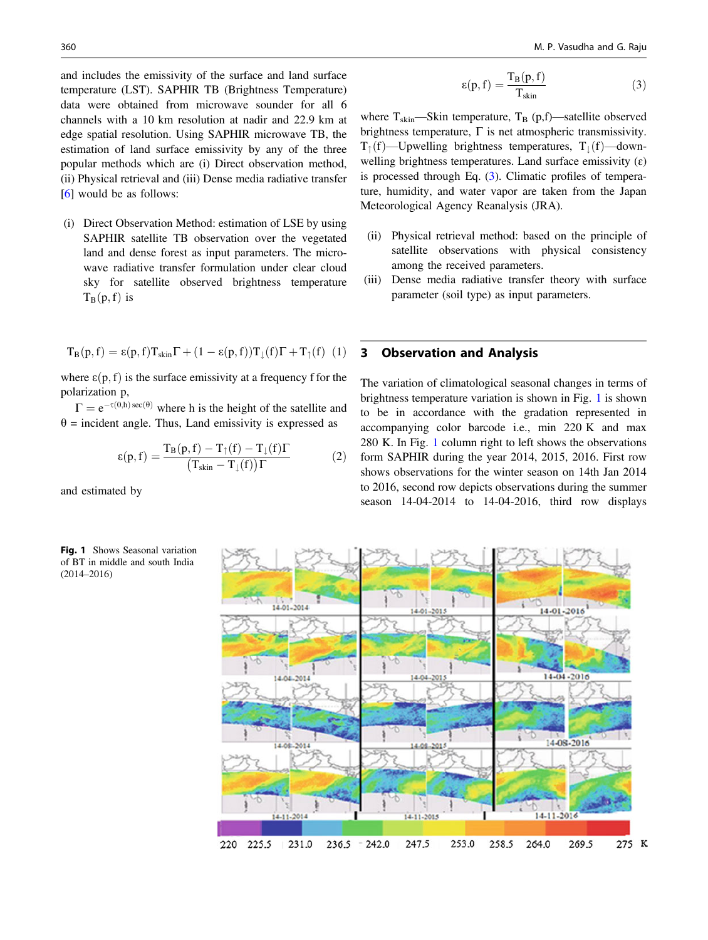and includes the emissivity of the surface and land surface temperature (LST). SAPHIR TB (Brightness Temperature) data were obtained from microwave sounder for all 6 channels with a 10 km resolution at nadir and 22.9 km at edge spatial resolution. Using SAPHIR microwave TB, the estimation of land surface emissivity by any of the three popular methods which are (i) Direct observation method, (ii) Physical retrieval and (iii) Dense media radiative transfer [\[6](#page-2-0)] would be as follows:

(i) Direct Observation Method: estimation of LSE by using SAPHIR satellite TB observation over the vegetated land and dense forest as input parameters. The microwave radiative transfer formulation under clear cloud sky for satellite observed brightness temperature  $T_B(p, f)$  is

$$
T_B(p,f)=\epsilon(p,f)T_{skin}\Gamma+(1-\epsilon(p,f))T_{\downarrow}(f)\Gamma+T_{\uparrow}(f)\ (1)
$$

where  $\varepsilon(p, f)$  is the surface emissivity at a frequency f for the polarization p,

 $\Gamma = e^{-\tau(0,h) \sec(\theta)}$  where h is the height of the satellite and  $\theta$  = incident angle. Thus, Land emissivity is expressed as

$$
\varepsilon(\mathbf{p}, \mathbf{f}) = \frac{\mathbf{T}_{\mathbf{B}}(\mathbf{p}, \mathbf{f}) - \mathbf{T}_{\uparrow}(\mathbf{f}) - \mathbf{T}_{\downarrow}(\mathbf{f})\Gamma}{(\mathbf{T}_{\text{skin}} - \mathbf{T}_{\downarrow}(\mathbf{f}))\Gamma} \tag{2}
$$

and estimated by



$$
\epsilon(p, f) = \frac{T_B(p, f)}{T_{skin}} \tag{3}
$$

where  $T_{skin}$ —Skin temperature,  $T_B$  (p,f)—satellite observed brightness temperature,  $\Gamma$  is net atmospheric transmissivity.  $T_{\uparrow}$ (f)—Upwelling brightness temperatures,  $T_{\downarrow}$ (f)—downwelling brightness temperatures. Land surface emissivity  $(\varepsilon)$ is processed through Eq. (3). Climatic profiles of temperature, humidity, and water vapor are taken from the Japan Meteorological Agency Reanalysis (JRA).

- (ii) Physical retrieval method: based on the principle of satellite observations with physical consistency among the received parameters.
- (iii) Dense media radiative transfer theory with surface parameter (soil type) as input parameters.

#### 3 Observation and Analysis

The variation of climatological seasonal changes in terms of brightness temperature variation is shown in Fig. 1 is shown to be in accordance with the gradation represented in accompanying color barcode i.e., min 220 K and max 280 K. In Fig. 1 column right to left shows the observations form SAPHIR during the year 2014, 2015, 2016. First row shows observations for the winter season on 14th Jan 2014 to 2016, second row depicts observations during the summer season 14-04-2014 to 14-04-2016, third row displays